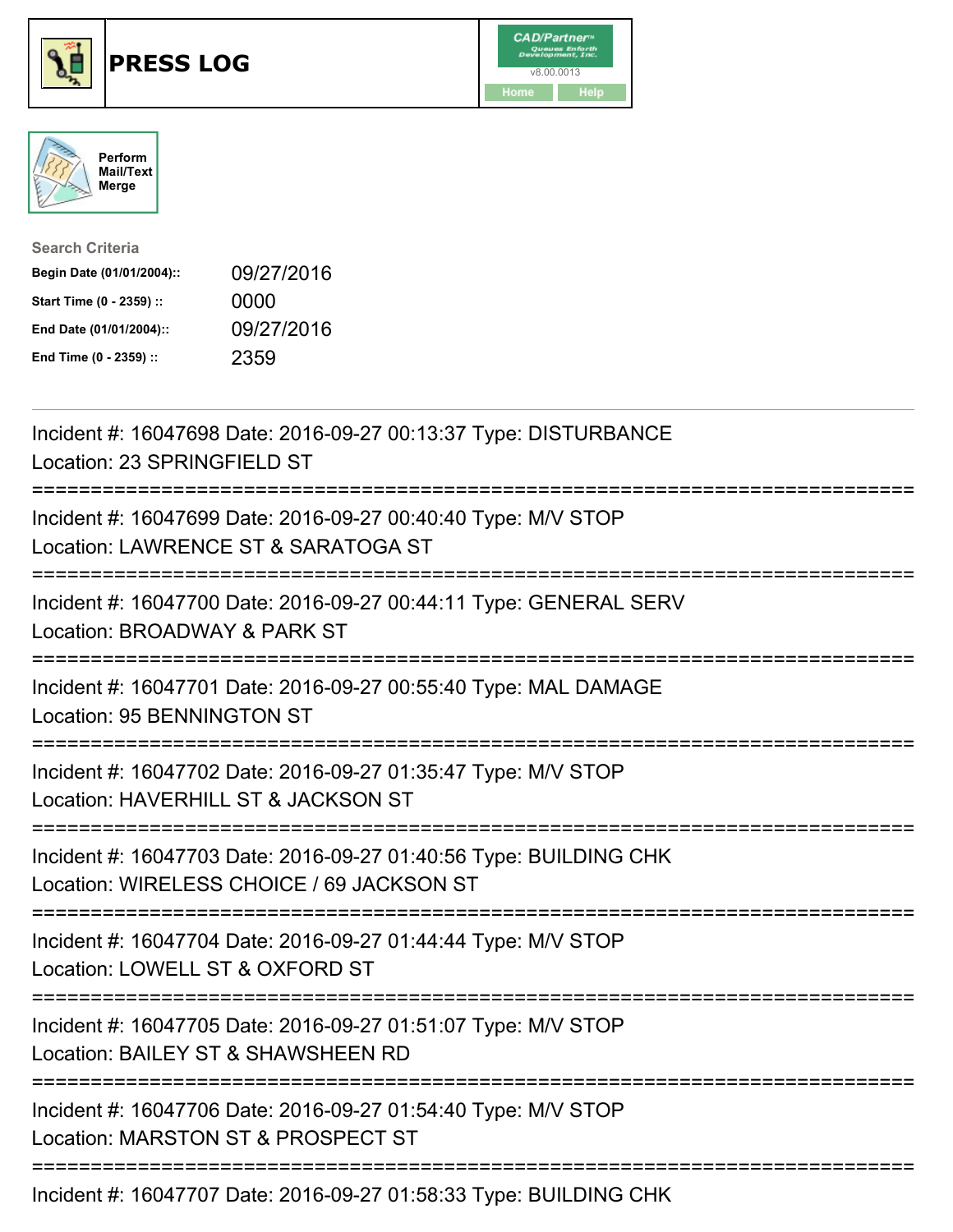





| <b>Search Criteria</b>    |            |
|---------------------------|------------|
| Begin Date (01/01/2004):: | 09/27/2016 |
| Start Time (0 - 2359) ::  | 0000       |
| End Date (01/01/2004)::   | 09/27/2016 |
| End Time (0 - 2359) ::    | 2359       |

| Incident #: 16047698 Date: 2016-09-27 00:13:37 Type: DISTURBANCE<br>Location: 23 SPRINGFIELD ST                       |
|-----------------------------------------------------------------------------------------------------------------------|
| Incident #: 16047699 Date: 2016-09-27 00:40:40 Type: M/V STOP<br>Location: LAWRENCE ST & SARATOGA ST                  |
| Incident #: 16047700 Date: 2016-09-27 00:44:11 Type: GENERAL SERV<br>Location: BROADWAY & PARK ST                     |
| Incident #: 16047701 Date: 2016-09-27 00:55:40 Type: MAL DAMAGE<br>Location: 95 BENNINGTON ST<br>-------------------- |
| Incident #: 16047702 Date: 2016-09-27 01:35:47 Type: M/V STOP<br>Location: HAVERHILL ST & JACKSON ST                  |
| Incident #: 16047703 Date: 2016-09-27 01:40:56 Type: BUILDING CHK<br>Location: WIRELESS CHOICE / 69 JACKSON ST        |
| Incident #: 16047704 Date: 2016-09-27 01:44:44 Type: M/V STOP<br>Location: LOWELL ST & OXFORD ST                      |
| Incident #: 16047705 Date: 2016-09-27 01:51:07 Type: M/V STOP<br>Location: BAILEY ST & SHAWSHEEN RD                   |
| Incident #: 16047706 Date: 2016-09-27 01:54:40 Type: M/V STOP<br>Location: MARSTON ST & PROSPECT ST                   |
|                                                                                                                       |

Incident #: 16047707 Date: 2016-09-27 01:58:33 Type: BUILDING CHK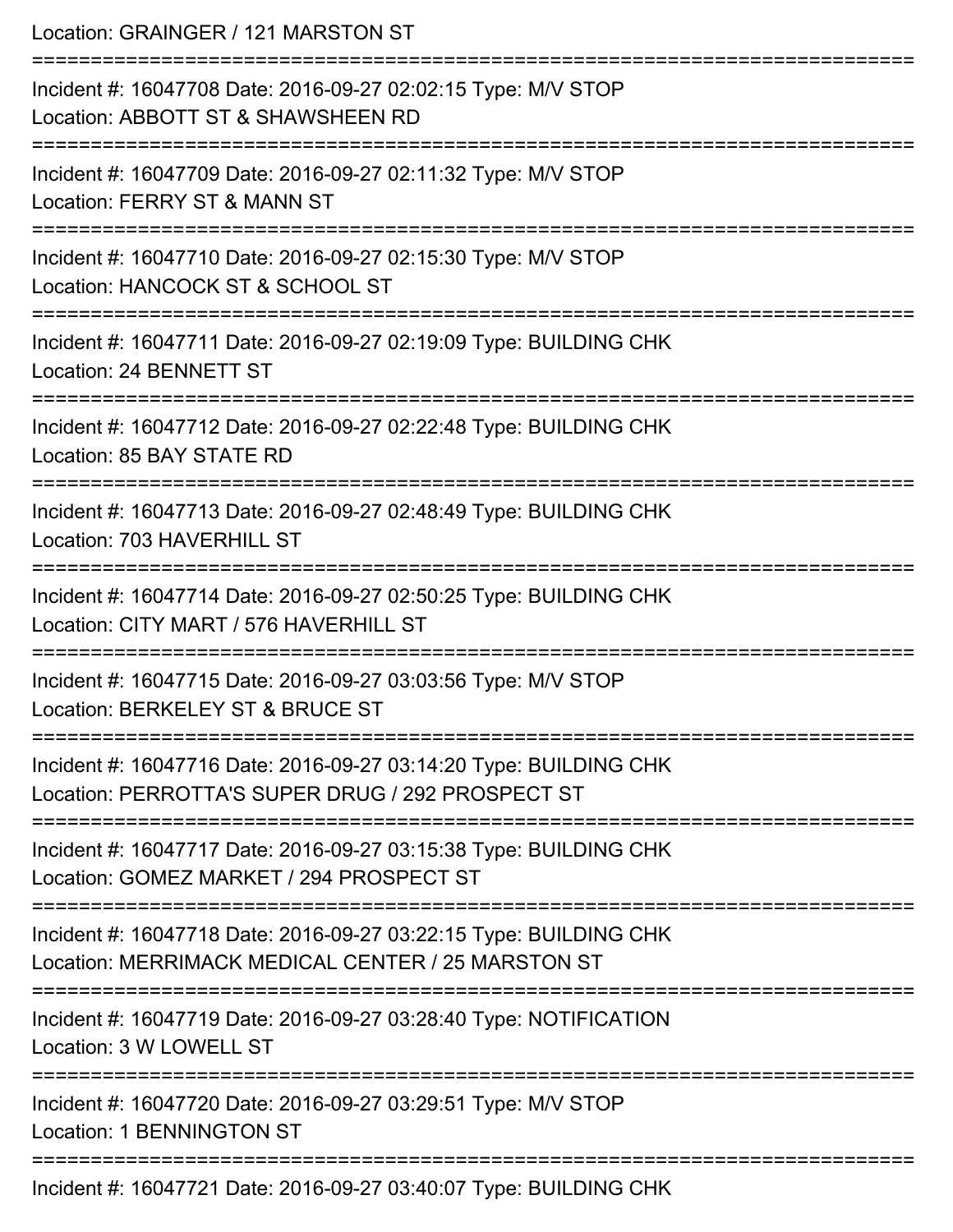Location: GRAINGER / 121 MARSTON ST =========================================================================== Incident #: 16047708 Date: 2016-09-27 02:02:15 Type: M/V STOP Location: ABBOTT ST & SHAWSHEEN RD =========================================================================== Incident #: 16047709 Date: 2016-09-27 02:11:32 Type: M/V STOP Location: FERRY ST & MANN ST =========================================================================== Incident #: 16047710 Date: 2016-09-27 02:15:30 Type: M/V STOP Location: HANCOCK ST & SCHOOL ST =========================================================================== Incident #: 16047711 Date: 2016-09-27 02:19:09 Type: BUILDING CHK Location: 24 BENNETT ST =========================================================================== Incident #: 16047712 Date: 2016-09-27 02:22:48 Type: BUILDING CHK Location: 85 BAY STATE RD =========================================================================== Incident #: 16047713 Date: 2016-09-27 02:48:49 Type: BUILDING CHK Location: 703 HAVERHILL ST =========================================================================== Incident #: 16047714 Date: 2016-09-27 02:50:25 Type: BUILDING CHK Location: CITY MART / 576 HAVERHILL ST =========================================================================== Incident #: 16047715 Date: 2016-09-27 03:03:56 Type: M/V STOP Location: BERKELEY ST & BRUCE ST =========================================================================== Incident #: 16047716 Date: 2016-09-27 03:14:20 Type: BUILDING CHK Location: PERROTTA'S SUPER DRUG / 292 PROSPECT ST =========================================================================== Incident #: 16047717 Date: 2016-09-27 03:15:38 Type: BUILDING CHK Location: GOMEZ MARKET / 294 PROSPECT ST =========================================================================== Incident #: 16047718 Date: 2016-09-27 03:22:15 Type: BUILDING CHK Location: MERRIMACK MEDICAL CENTER / 25 MARSTON ST =========================================================================== Incident #: 16047719 Date: 2016-09-27 03:28:40 Type: NOTIFICATION Location: 3 W LOWELL ST =========================================================================== Incident #: 16047720 Date: 2016-09-27 03:29:51 Type: M/V STOP Location: 1 BENNINGTON ST =========================================================================== Incident #: 16047721 Date: 2016-09-27 03:40:07 Type: BUILDING CHK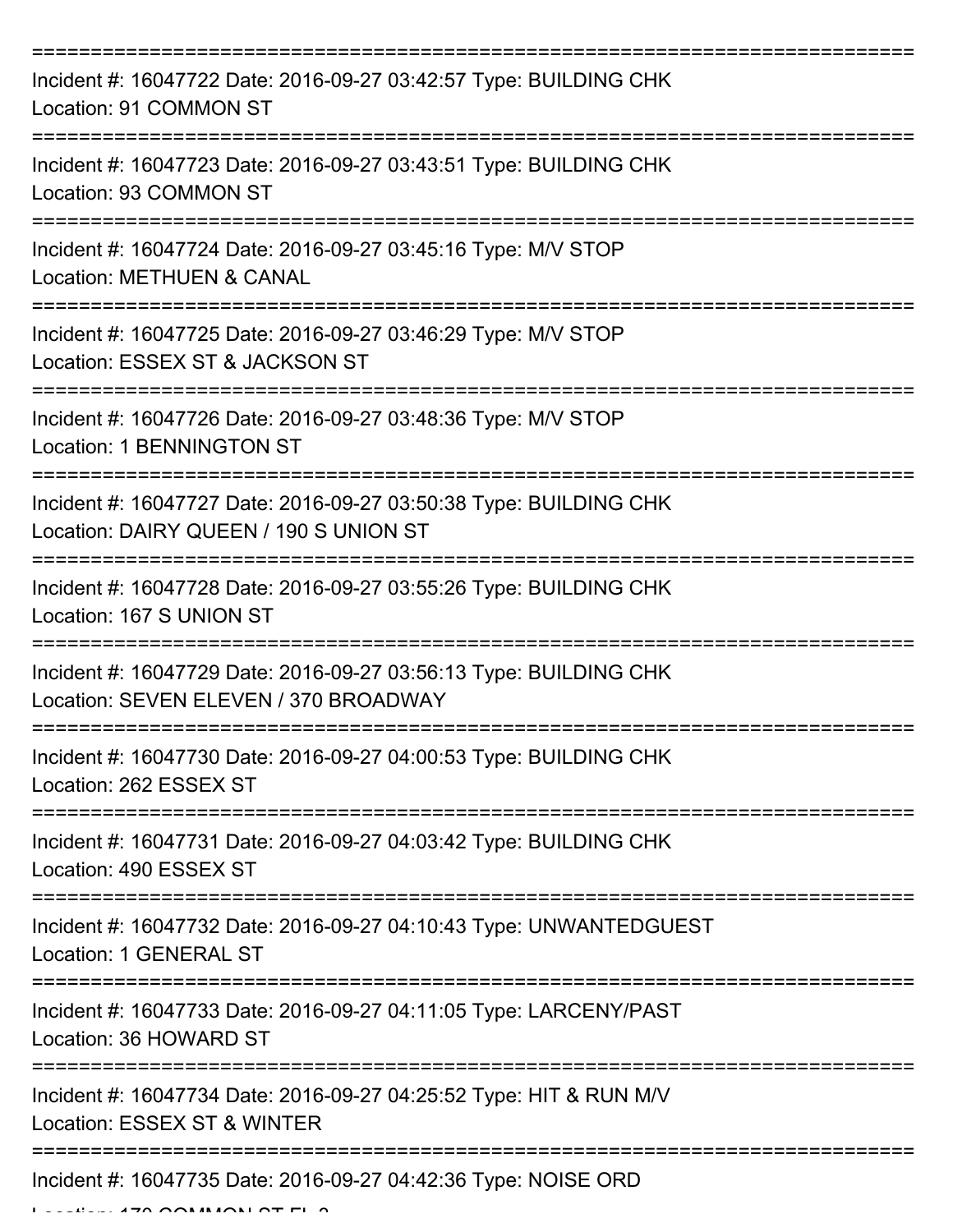| Incident #: 16047722 Date: 2016-09-27 03:42:57 Type: BUILDING CHK<br>Location: 91 COMMON ST                                          |
|--------------------------------------------------------------------------------------------------------------------------------------|
| Incident #: 16047723 Date: 2016-09-27 03:43:51 Type: BUILDING CHK<br>Location: 93 COMMON ST                                          |
| Incident #: 16047724 Date: 2016-09-27 03:45:16 Type: M/V STOP<br><b>Location: METHUEN &amp; CANAL</b>                                |
| Incident #: 16047725 Date: 2016-09-27 03:46:29 Type: M/V STOP<br>Location: ESSEX ST & JACKSON ST                                     |
| Incident #: 16047726 Date: 2016-09-27 03:48:36 Type: M/V STOP<br><b>Location: 1 BENNINGTON ST</b>                                    |
| =====================<br>Incident #: 16047727 Date: 2016-09-27 03:50:38 Type: BUILDING CHK<br>Location: DAIRY QUEEN / 190 S UNION ST |
| Incident #: 16047728 Date: 2016-09-27 03:55:26 Type: BUILDING CHK<br>Location: 167 S UNION ST                                        |
| Incident #: 16047729 Date: 2016-09-27 03:56:13 Type: BUILDING CHK<br>Location: SEVEN ELEVEN / 370 BROADWAY                           |
| Incident #: 16047730 Date: 2016-09-27 04:00:53 Type: BUILDING CHK<br>Location: 262 ESSEX ST                                          |
| Incident #: 16047731 Date: 2016-09-27 04:03:42 Type: BUILDING CHK<br>Location: 490 ESSEX ST                                          |
| Incident #: 16047732 Date: 2016-09-27 04:10:43 Type: UNWANTEDGUEST<br>Location: 1 GENERAL ST                                         |
| Incident #: 16047733 Date: 2016-09-27 04:11:05 Type: LARCENY/PAST<br>Location: 36 HOWARD ST                                          |
| Incident #: 16047734 Date: 2016-09-27 04:25:52 Type: HIT & RUN M/V<br>Location: ESSEX ST & WINTER                                    |
| Incident #: 16047735 Date: 2016-09-27 04:42:36 Type: NOISE ORD                                                                       |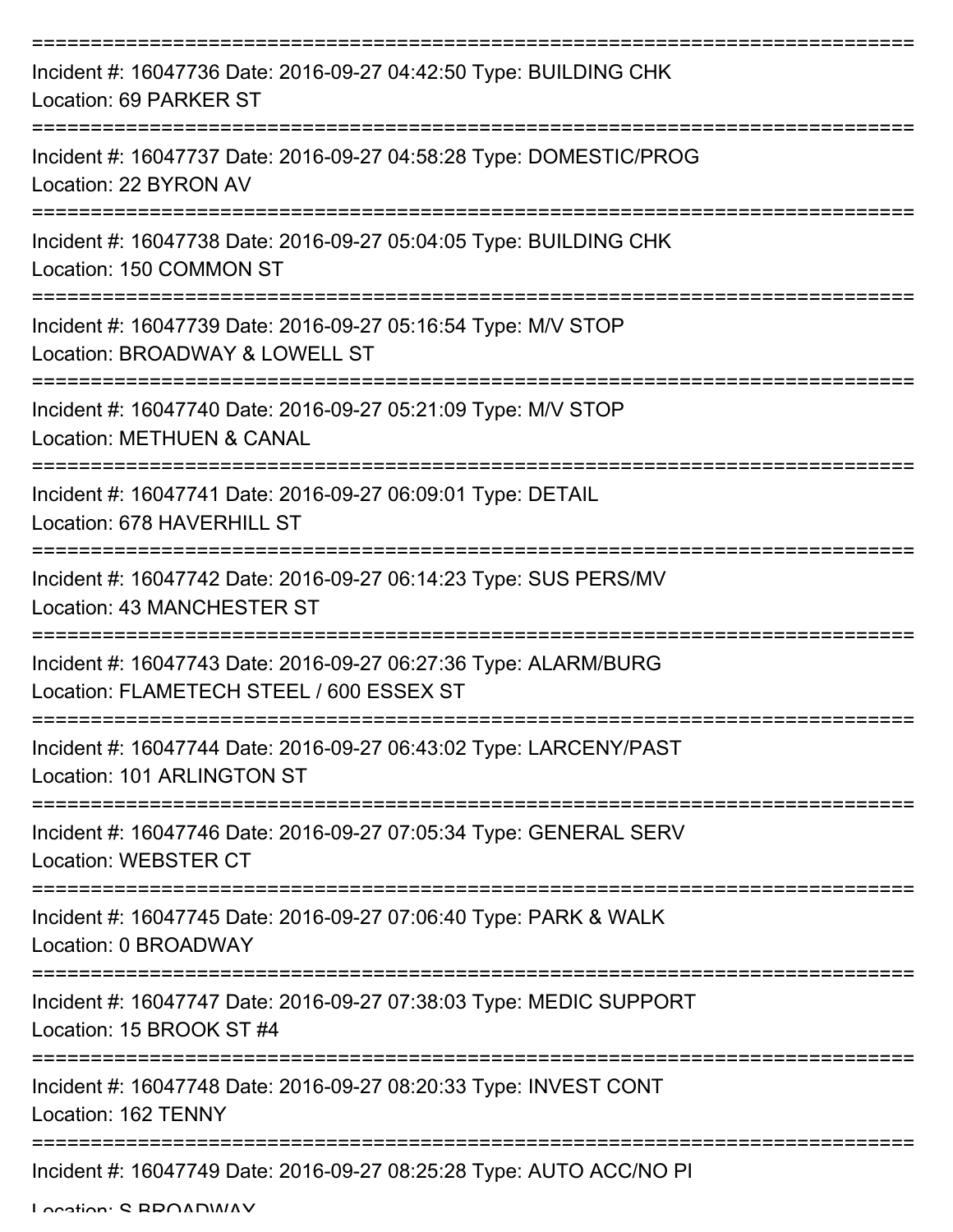| Incident #: 16047736 Date: 2016-09-27 04:42:50 Type: BUILDING CHK<br>Location: 69 PARKER ST                                                  |
|----------------------------------------------------------------------------------------------------------------------------------------------|
| Incident #: 16047737 Date: 2016-09-27 04:58:28 Type: DOMESTIC/PROG<br>Location: 22 BYRON AV                                                  |
| Incident #: 16047738 Date: 2016-09-27 05:04:05 Type: BUILDING CHK<br>Location: 150 COMMON ST                                                 |
| Incident #: 16047739 Date: 2016-09-27 05:16:54 Type: M/V STOP<br>Location: BROADWAY & LOWELL ST                                              |
| Incident #: 16047740 Date: 2016-09-27 05:21:09 Type: M/V STOP<br><b>Location: METHUEN &amp; CANAL</b><br>=================================== |
| Incident #: 16047741 Date: 2016-09-27 06:09:01 Type: DETAIL<br>Location: 678 HAVERHILL ST                                                    |
| Incident #: 16047742 Date: 2016-09-27 06:14:23 Type: SUS PERS/MV<br>Location: 43 MANCHESTER ST                                               |
| Incident #: 16047743 Date: 2016-09-27 06:27:36 Type: ALARM/BURG<br>Location: FLAMETECH STEEL / 600 ESSEX ST                                  |
| Incident #: 16047744 Date: 2016-09-27 06:43:02 Type: LARCENY/PAST<br>Location: 101 ARLINGTON ST                                              |
| Incident #: 16047746 Date: 2016-09-27 07:05:34 Type: GENERAL SERV<br><b>Location: WEBSTER CT</b>                                             |
| Incident #: 16047745 Date: 2016-09-27 07:06:40 Type: PARK & WALK<br>Location: 0 BROADWAY                                                     |
| Incident #: 16047747 Date: 2016-09-27 07:38:03 Type: MEDIC SUPPORT<br>Location: 15 BROOK ST #4                                               |
| Incident #: 16047748 Date: 2016-09-27 08:20:33 Type: INVEST CONT<br>Location: 162 TENNY                                                      |
| Incident #: 16047749 Date: 2016-09-27 08:25:28 Type: AUTO ACC/NO PI                                                                          |

Location: S BROADWAY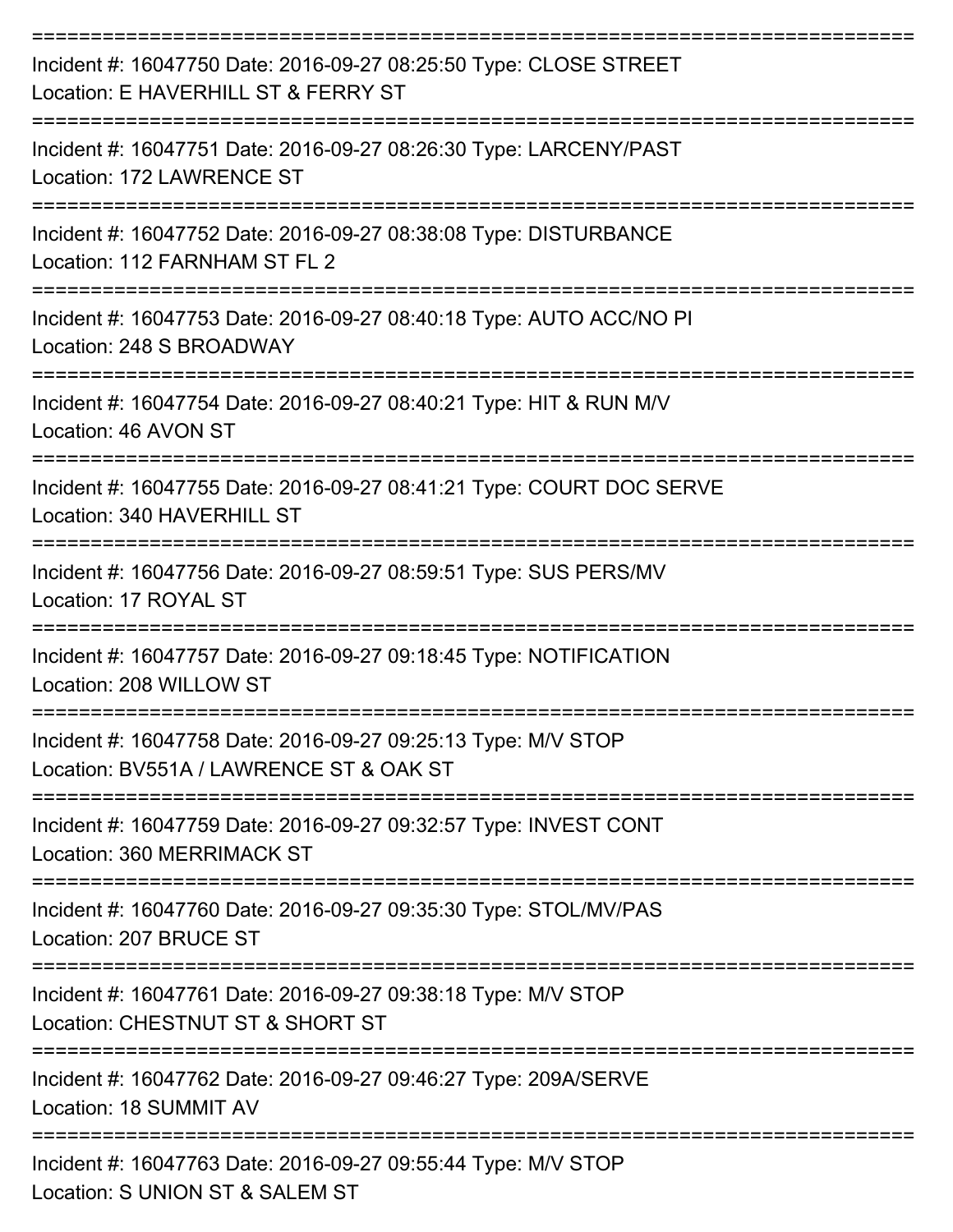| Incident #: 16047750 Date: 2016-09-27 08:25:50 Type: CLOSE STREET<br>Location: E HAVERHILL ST & FERRY ST |
|----------------------------------------------------------------------------------------------------------|
| Incident #: 16047751 Date: 2016-09-27 08:26:30 Type: LARCENY/PAST<br>Location: 172 LAWRENCE ST           |
| Incident #: 16047752 Date: 2016-09-27 08:38:08 Type: DISTURBANCE<br>Location: 112 FARNHAM ST FL 2        |
| Incident #: 16047753 Date: 2016-09-27 08:40:18 Type: AUTO ACC/NO PI<br>Location: 248 S BROADWAY          |
| Incident #: 16047754 Date: 2016-09-27 08:40:21 Type: HIT & RUN M/V<br>Location: 46 AVON ST               |
| Incident #: 16047755 Date: 2016-09-27 08:41:21 Type: COURT DOC SERVE<br>Location: 340 HAVERHILL ST       |
| Incident #: 16047756 Date: 2016-09-27 08:59:51 Type: SUS PERS/MV<br>Location: 17 ROYAL ST                |
| Incident #: 16047757 Date: 2016-09-27 09:18:45 Type: NOTIFICATION<br>Location: 208 WILLOW ST             |
| Incident #: 16047758 Date: 2016-09-27 09:25:13 Type: M/V STOP<br>Location: BV551A / LAWRENCE ST & OAK ST |
| Incident #: 16047759 Date: 2016-09-27 09:32:57 Type: INVEST CONT<br><b>Location: 360 MERRIMACK ST</b>    |
| Incident #: 16047760 Date: 2016-09-27 09:35:30 Type: STOL/MV/PAS<br>Location: 207 BRUCE ST               |
| Incident #: 16047761 Date: 2016-09-27 09:38:18 Type: M/V STOP<br>Location: CHESTNUT ST & SHORT ST        |
| Incident #: 16047762 Date: 2016-09-27 09:46:27 Type: 209A/SERVE<br>Location: 18 SUMMIT AV                |
| Incident #: 16047763 Date: 2016-09-27 09:55:44 Type: M/V STOP<br>Location: S UNION ST & SALEM ST         |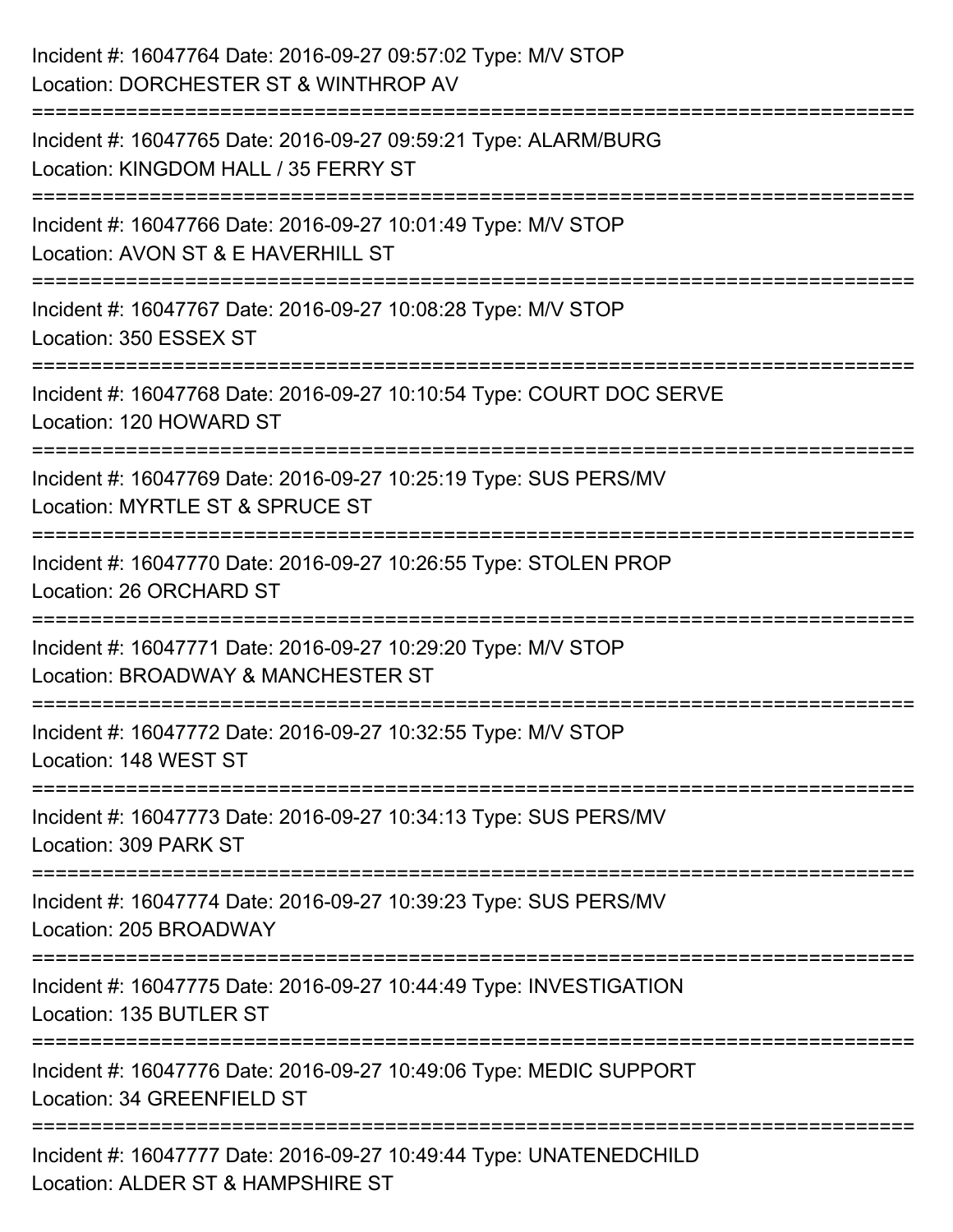| Incident #: 16047764 Date: 2016-09-27 09:57:02 Type: M/V STOP<br>Location: DORCHESTER ST & WINTHROP AV                   |
|--------------------------------------------------------------------------------------------------------------------------|
| Incident #: 16047765 Date: 2016-09-27 09:59:21 Type: ALARM/BURG<br>Location: KINGDOM HALL / 35 FERRY ST                  |
| Incident #: 16047766 Date: 2016-09-27 10:01:49 Type: M/V STOP<br>Location: AVON ST & E HAVERHILL ST<br>================= |
| Incident #: 16047767 Date: 2016-09-27 10:08:28 Type: M/V STOP<br>Location: 350 ESSEX ST                                  |
| Incident #: 16047768 Date: 2016-09-27 10:10:54 Type: COURT DOC SERVE<br>Location: 120 HOWARD ST                          |
| Incident #: 16047769 Date: 2016-09-27 10:25:19 Type: SUS PERS/MV<br>Location: MYRTLE ST & SPRUCE ST                      |
| Incident #: 16047770 Date: 2016-09-27 10:26:55 Type: STOLEN PROP<br>Location: 26 ORCHARD ST                              |
| Incident #: 16047771 Date: 2016-09-27 10:29:20 Type: M/V STOP<br>Location: BROADWAY & MANCHESTER ST                      |
| Incident #: 16047772 Date: 2016-09-27 10:32:55 Type: M/V STOP<br>Location: 148 WEST ST                                   |
| Incident #: 16047773 Date: 2016-09-27 10:34:13 Type: SUS PERS/MV<br>Location: 309 PARK ST                                |
| Incident #: 16047774 Date: 2016-09-27 10:39:23 Type: SUS PERS/MV<br>Location: 205 BROADWAY                               |
| Incident #: 16047775 Date: 2016-09-27 10:44:49 Type: INVESTIGATION<br>Location: 135 BUTLER ST                            |
| Incident #: 16047776 Date: 2016-09-27 10:49:06 Type: MEDIC SUPPORT<br>Location: 34 GREENFIELD ST                         |
| Incident #: 16047777 Date: 2016-09-27 10:49:44 Type: UNATENEDCHILD<br>Location: ALDER ST & HAMPSHIRE ST                  |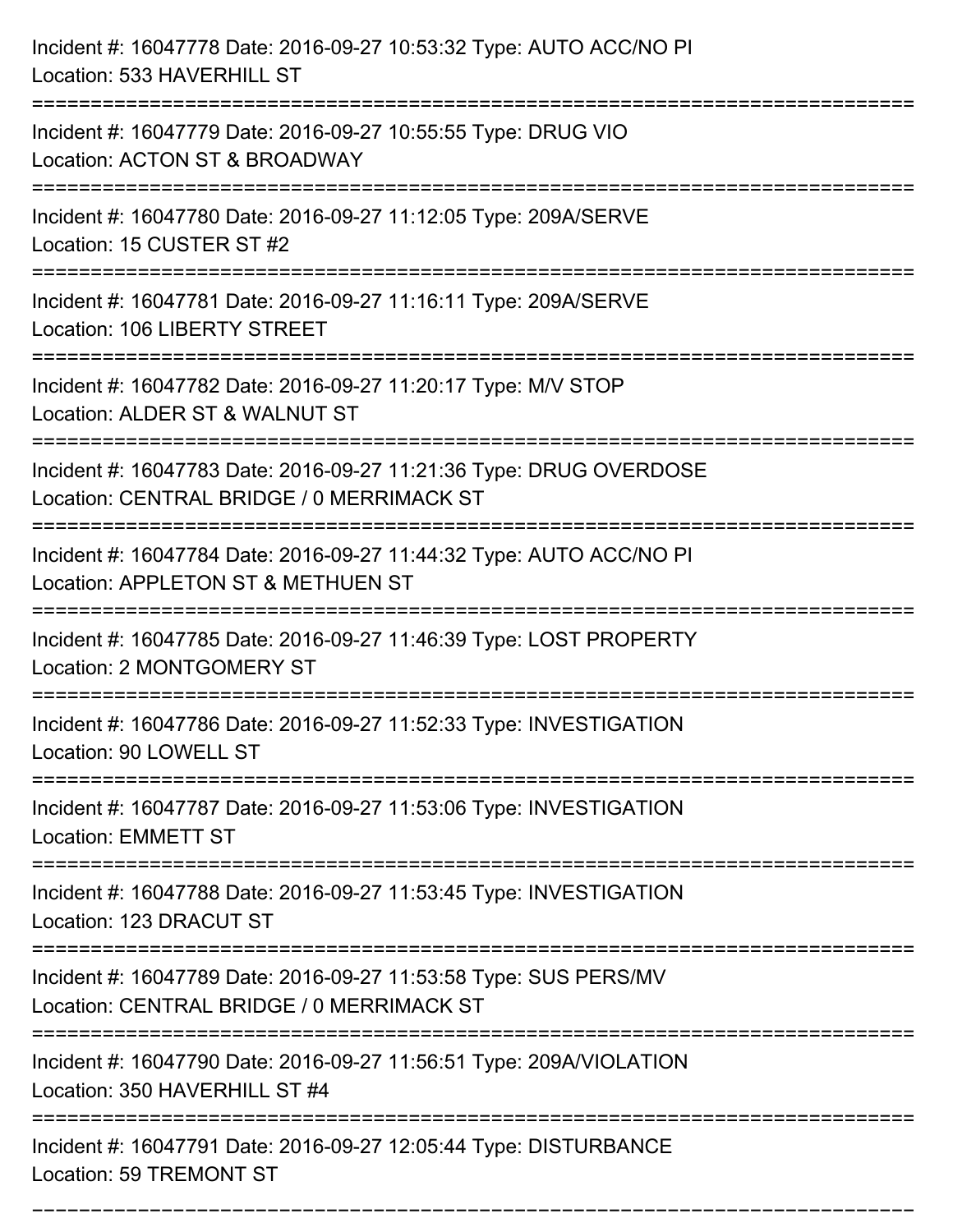| Incident #: 16047778 Date: 2016-09-27 10:53:32 Type: AUTO ACC/NO PI<br>Location: 533 HAVERHILL ST                                  |
|------------------------------------------------------------------------------------------------------------------------------------|
| Incident #: 16047779 Date: 2016-09-27 10:55:55 Type: DRUG VIO<br>Location: ACTON ST & BROADWAY                                     |
| Incident #: 16047780 Date: 2016-09-27 11:12:05 Type: 209A/SERVE<br>Location: 15 CUSTER ST #2<br>:================================  |
| Incident #: 16047781 Date: 2016-09-27 11:16:11 Type: 209A/SERVE<br>Location: 106 LIBERTY STREET                                    |
| Incident #: 16047782 Date: 2016-09-27 11:20:17 Type: M/V STOP<br>Location: ALDER ST & WALNUT ST<br>=============================== |
| Incident #: 16047783 Date: 2016-09-27 11:21:36 Type: DRUG OVERDOSE<br>Location: CENTRAL BRIDGE / 0 MERRIMACK ST                    |
| Incident #: 16047784 Date: 2016-09-27 11:44:32 Type: AUTO ACC/NO PI<br>Location: APPLETON ST & METHUEN ST                          |
| Incident #: 16047785 Date: 2016-09-27 11:46:39 Type: LOST PROPERTY<br>Location: 2 MONTGOMERY ST                                    |
| Incident #: 16047786 Date: 2016-09-27 11:52:33 Type: INVESTIGATION<br>Location: 90 LOWELL ST<br>===================                |
| Incident #: 16047787 Date: 2016-09-27 11:53:06 Type: INVESTIGATION<br><b>Location: EMMETT ST</b>                                   |
| Incident #: 16047788 Date: 2016-09-27 11:53:45 Type: INVESTIGATION<br>Location: 123 DRACUT ST                                      |
| Incident #: 16047789 Date: 2016-09-27 11:53:58 Type: SUS PERS/MV<br>Location: CENTRAL BRIDGE / 0 MERRIMACK ST                      |
| Incident #: 16047790 Date: 2016-09-27 11:56:51 Type: 209A/VIOLATION<br>Location: 350 HAVERHILL ST #4                               |
| Incident #: 16047791 Date: 2016-09-27 12:05:44 Type: DISTURBANCE<br>Location: 59 TREMONT ST                                        |

===========================================================================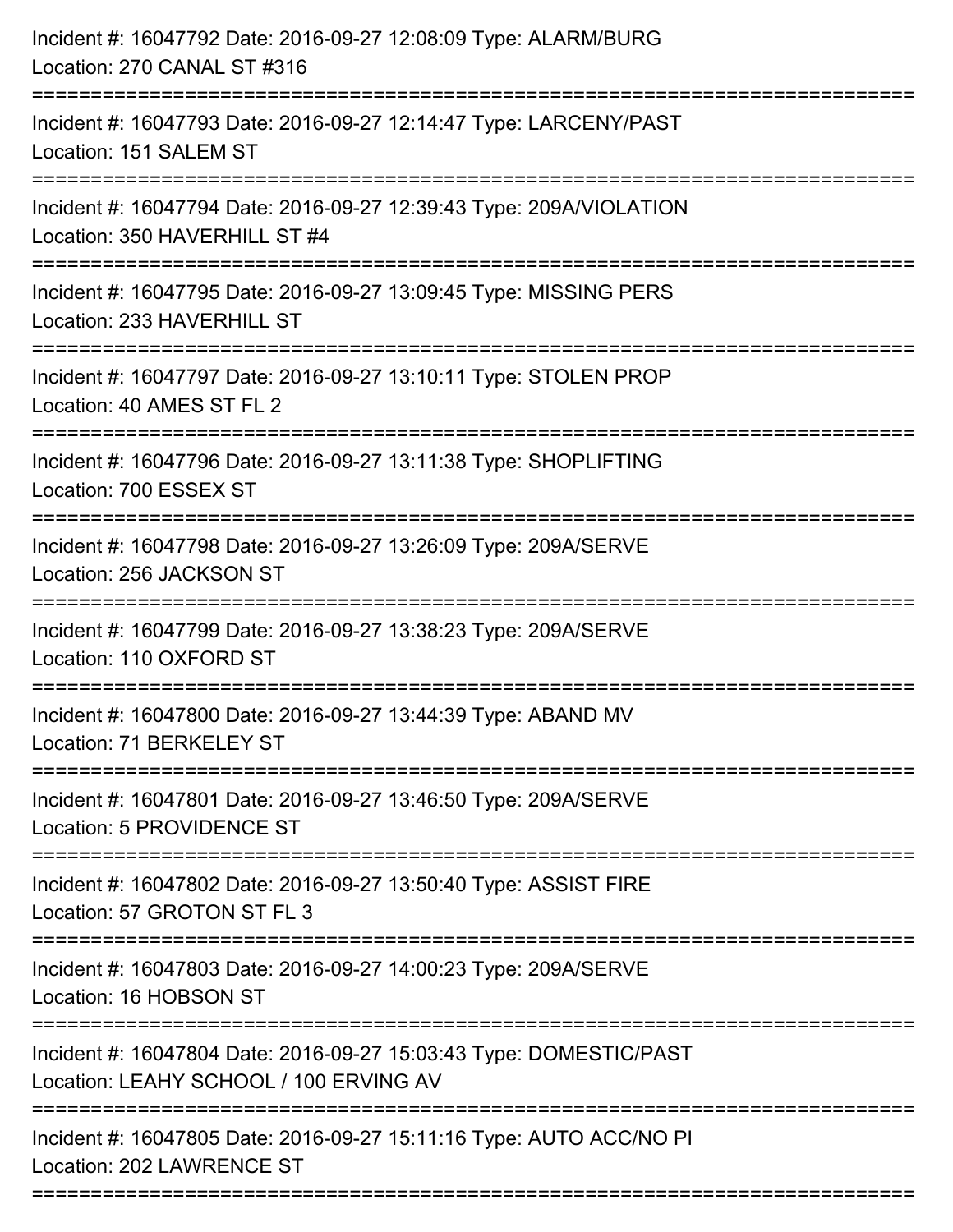| Incident #: 16047792 Date: 2016-09-27 12:08:09 Type: ALARM/BURG<br>Location: 270 CANAL ST #316<br>========================                                      |
|-----------------------------------------------------------------------------------------------------------------------------------------------------------------|
| Incident #: 16047793 Date: 2016-09-27 12:14:47 Type: LARCENY/PAST<br>Location: 151 SALEM ST                                                                     |
| Incident #: 16047794 Date: 2016-09-27 12:39:43 Type: 209A/VIOLATION<br>Location: 350 HAVERHILL ST #4<br>:===============================<br>------------------- |
| Incident #: 16047795 Date: 2016-09-27 13:09:45 Type: MISSING PERS<br>Location: 233 HAVERHILL ST                                                                 |
| Incident #: 16047797 Date: 2016-09-27 13:10:11 Type: STOLEN PROP<br>Location: 40 AMES ST FL 2                                                                   |
| Incident #: 16047796 Date: 2016-09-27 13:11:38 Type: SHOPLIFTING<br>Location: 700 ESSEX ST                                                                      |
| Incident #: 16047798 Date: 2016-09-27 13:26:09 Type: 209A/SERVE<br>Location: 256 JACKSON ST                                                                     |
| Incident #: 16047799 Date: 2016-09-27 13:38:23 Type: 209A/SERVE<br>Location: 110 OXFORD ST                                                                      |
| Incident #: 16047800 Date: 2016-09-27 13:44:39 Type: ABAND MV<br>Location: 71 BERKELEY ST                                                                       |
| Incident #: 16047801 Date: 2016-09-27 13:46:50 Type: 209A/SERVE<br>Location: 5 PROVIDENCE ST                                                                    |
| Incident #: 16047802 Date: 2016-09-27 13:50:40 Type: ASSIST FIRE<br>Location: 57 GROTON ST FL 3                                                                 |
| Incident #: 16047803 Date: 2016-09-27 14:00:23 Type: 209A/SERVE<br>Location: 16 HOBSON ST                                                                       |
| Incident #: 16047804 Date: 2016-09-27 15:03:43 Type: DOMESTIC/PAST<br>Location: LEAHY SCHOOL / 100 ERVING AV                                                    |
| -------------------------<br>Incident #: 16047805 Date: 2016-09-27 15:11:16 Type: AUTO ACC/NO PI<br>Location: 202 LAWRENCE ST                                   |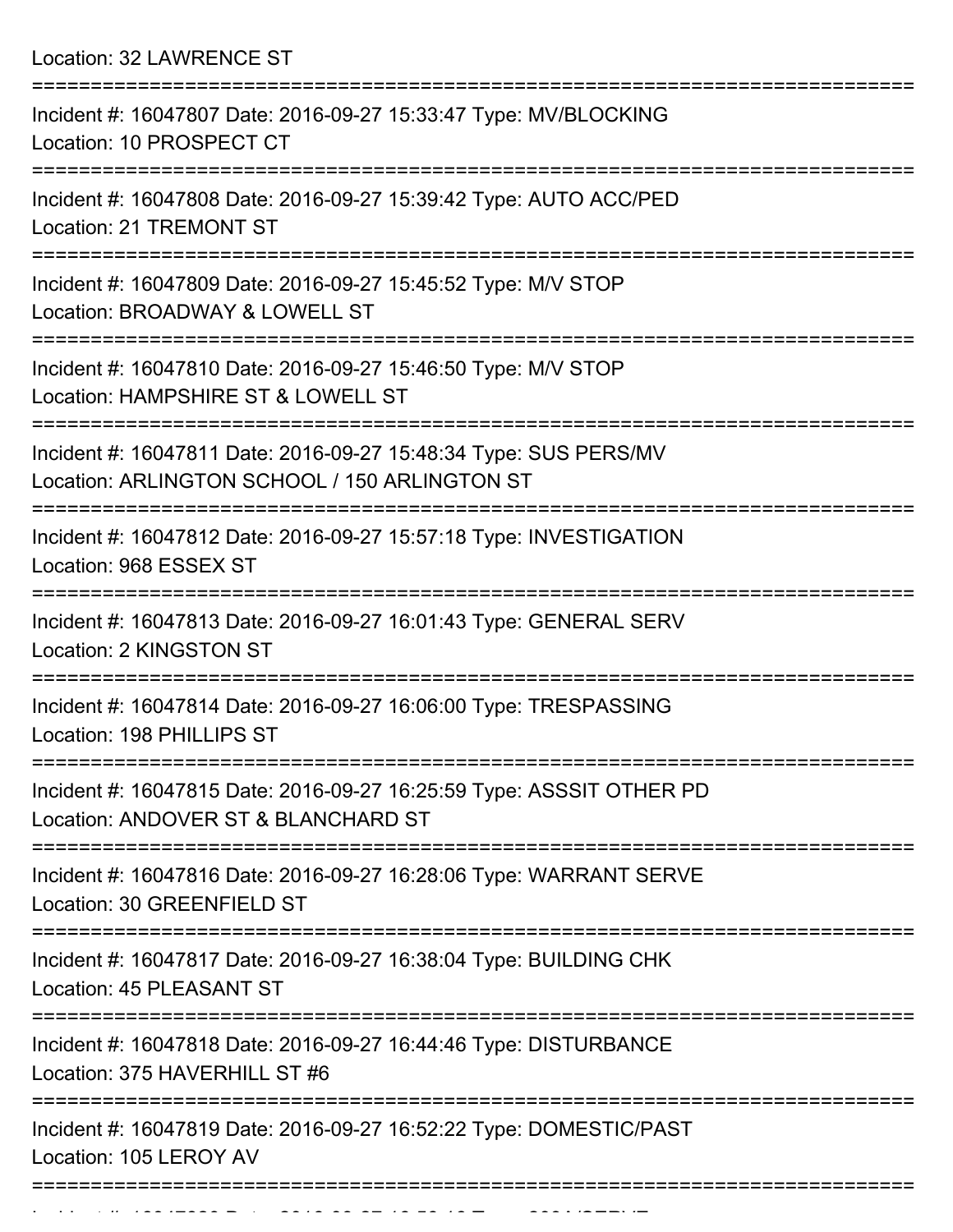Location: 32 LAWRENCE ST

| Incident #: 16047807 Date: 2016-09-27 15:33:47 Type: MV/BLOCKING<br>Location: 10 PROSPECT CT                      |
|-------------------------------------------------------------------------------------------------------------------|
| Incident #: 16047808 Date: 2016-09-27 15:39:42 Type: AUTO ACC/PED<br><b>Location: 21 TREMONT ST</b>               |
| Incident #: 16047809 Date: 2016-09-27 15:45:52 Type: M/V STOP<br>Location: BROADWAY & LOWELL ST                   |
| Incident #: 16047810 Date: 2016-09-27 15:46:50 Type: M/V STOP<br>Location: HAMPSHIRE ST & LOWELL ST               |
| Incident #: 16047811 Date: 2016-09-27 15:48:34 Type: SUS PERS/MV<br>Location: ARLINGTON SCHOOL / 150 ARLINGTON ST |
| Incident #: 16047812 Date: 2016-09-27 15:57:18 Type: INVESTIGATION<br>Location: 968 ESSEX ST                      |
| Incident #: 16047813 Date: 2016-09-27 16:01:43 Type: GENERAL SERV<br>Location: 2 KINGSTON ST                      |
| Incident #: 16047814 Date: 2016-09-27 16:06:00 Type: TRESPASSING<br>Location: 198 PHILLIPS ST                     |
| Incident #: 16047815 Date: 2016-09-27 16:25:59 Type: ASSSIT OTHER PD<br>Location: ANDOVER ST & BLANCHARD ST       |
| Incident #: 16047816 Date: 2016-09-27 16:28:06 Type: WARRANT SERVE<br>Location: 30 GREENFIELD ST                  |
| Incident #: 16047817 Date: 2016-09-27 16:38:04 Type: BUILDING CHK<br>Location: 45 PLEASANT ST                     |
| Incident #: 16047818 Date: 2016-09-27 16:44:46 Type: DISTURBANCE<br>Location: 375 HAVERHILL ST #6                 |
| Incident #: 16047819 Date: 2016-09-27 16:52:22 Type: DOMESTIC/PAST<br>Location: 105 LEROY AV                      |
| ------------------------------------                                                                              |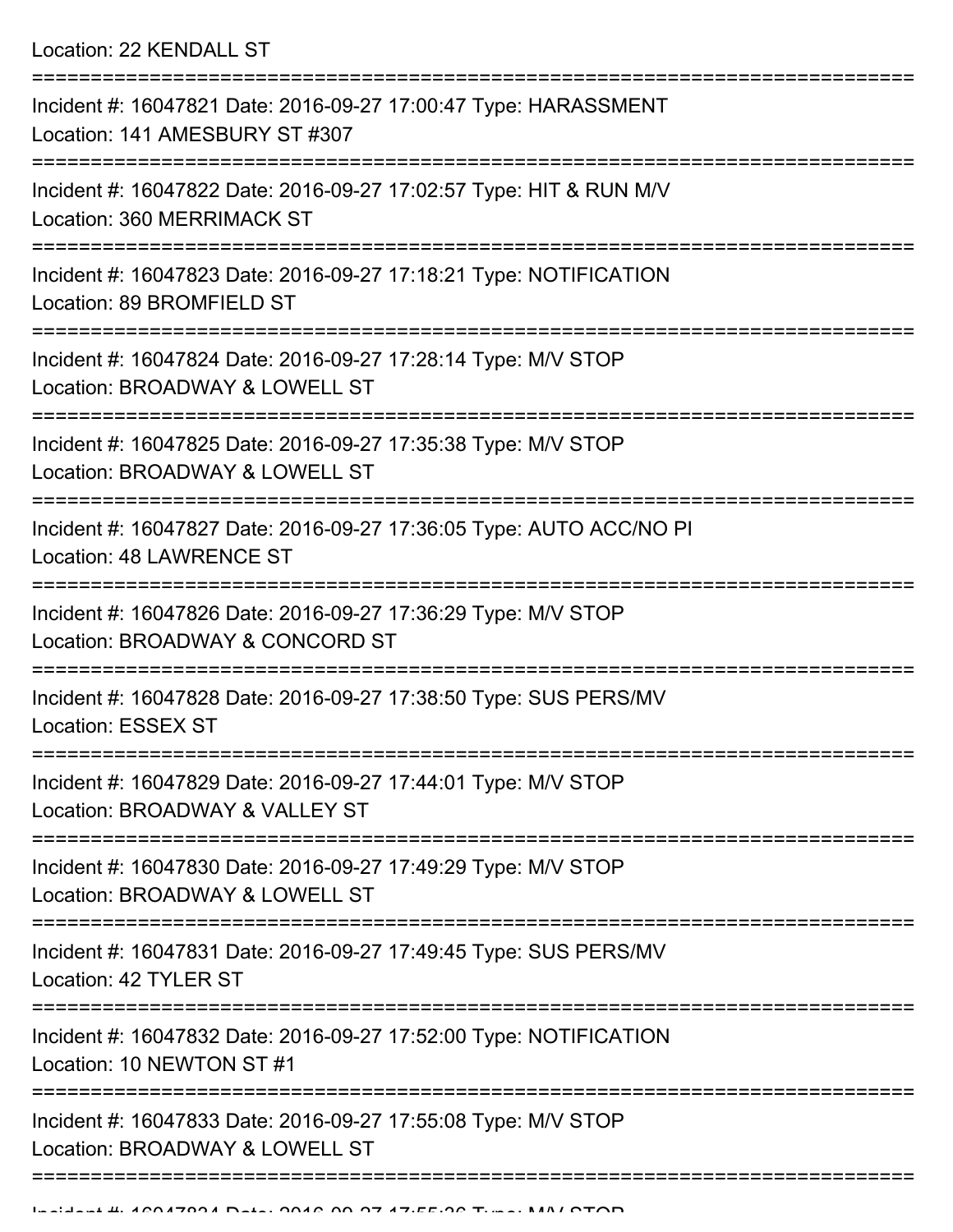Location: 22 KENDALL ST

| Incident #: 16047821 Date: 2016-09-27 17:00:47 Type: HARASSMENT<br>Location: 141 AMESBURY ST #307                                      |
|----------------------------------------------------------------------------------------------------------------------------------------|
| Incident #: 16047822 Date: 2016-09-27 17:02:57 Type: HIT & RUN M/V<br>Location: 360 MERRIMACK ST                                       |
| Incident #: 16047823 Date: 2016-09-27 17:18:21 Type: NOTIFICATION<br>Location: 89 BROMFIELD ST                                         |
| Incident #: 16047824 Date: 2016-09-27 17:28:14 Type: M/V STOP<br>Location: BROADWAY & LOWELL ST                                        |
| Incident #: 16047825 Date: 2016-09-27 17:35:38 Type: M/V STOP<br>Location: BROADWAY & LOWELL ST                                        |
| Incident #: 16047827 Date: 2016-09-27 17:36:05 Type: AUTO ACC/NO PI<br>Location: 48 LAWRENCE ST                                        |
| Incident #: 16047826 Date: 2016-09-27 17:36:29 Type: M/V STOP<br>Location: BROADWAY & CONCORD ST                                       |
| Incident #: 16047828 Date: 2016-09-27 17:38:50 Type: SUS PERS/MV<br><b>Location: ESSEX ST</b>                                          |
| Incident #: 16047829 Date: 2016-09-27 17:44:01 Type: M/V STOP<br>Location: BROADWAY & VALLEY ST                                        |
| Incident #: 16047830 Date: 2016-09-27 17:49:29 Type: M/V STOP<br>Location: BROADWAY & LOWELL ST                                        |
| Incident #: 16047831 Date: 2016-09-27 17:49:45 Type: SUS PERS/MV<br>Location: 42 TYLER ST                                              |
| ====================================<br>Incident #: 16047832 Date: 2016-09-27 17:52:00 Type: NOTIFICATION<br>Location: 10 NEWTON ST #1 |
| Incident #: 16047833 Date: 2016-09-27 17:55:08 Type: M/V STOP<br>Location: BROADWAY & LOWELL ST                                        |
|                                                                                                                                        |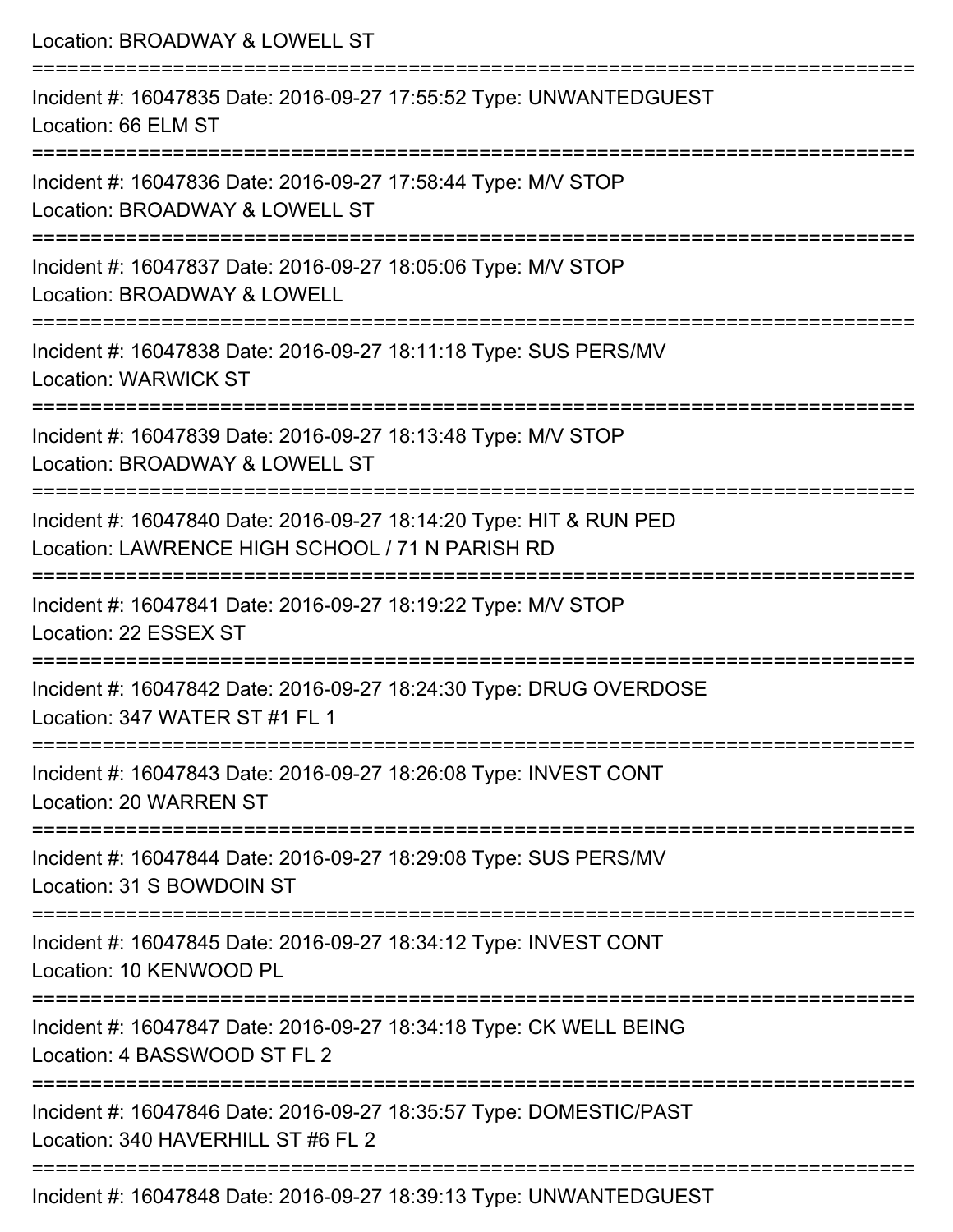| Location: BROADWAY & LOWELL ST                                                                                                     |
|------------------------------------------------------------------------------------------------------------------------------------|
| Incident #: 16047835 Date: 2016-09-27 17:55:52 Type: UNWANTEDGUEST<br>Location: 66 ELM ST                                          |
| Incident #: 16047836 Date: 2016-09-27 17:58:44 Type: M/V STOP<br>Location: BROADWAY & LOWELL ST                                    |
| Incident #: 16047837 Date: 2016-09-27 18:05:06 Type: M/V STOP<br>Location: BROADWAY & LOWELL                                       |
| ;======================<br>Incident #: 16047838 Date: 2016-09-27 18:11:18 Type: SUS PERS/MV<br><b>Location: WARWICK ST</b>         |
| Incident #: 16047839 Date: 2016-09-27 18:13:48 Type: M/V STOP<br>Location: BROADWAY & LOWELL ST                                    |
| Incident #: 16047840 Date: 2016-09-27 18:14:20 Type: HIT & RUN PED<br>Location: LAWRENCE HIGH SCHOOL / 71 N PARISH RD              |
| Incident #: 16047841 Date: 2016-09-27 18:19:22 Type: M/V STOP<br>Location: 22 ESSEX ST                                             |
| --------------------------<br>Incident #: 16047842 Date: 2016-09-27 18:24:30 Type: DRUG OVERDOSE<br>Location: 347 WATER ST #1 FL 1 |
| ================================<br>Incident #: 16047843 Date: 2016-09-27 18:26:08 Type: INVEST CONT<br>Location: 20 WARREN ST     |
| Incident #: 16047844 Date: 2016-09-27 18:29:08 Type: SUS PERS/MV<br>Location: 31 S BOWDOIN ST                                      |
| Incident #: 16047845 Date: 2016-09-27 18:34:12 Type: INVEST CONT<br>Location: 10 KENWOOD PL                                        |
| Incident #: 16047847 Date: 2016-09-27 18:34:18 Type: CK WELL BEING<br>Location: 4 BASSWOOD ST FL 2                                 |
| Incident #: 16047846 Date: 2016-09-27 18:35:57 Type: DOMESTIC/PAST<br>Location: 340 HAVERHILL ST #6 FL 2                           |
| Incident #: 16047848 Date: 2016-09-27 18:39:13 Type: UNWANTEDGUEST                                                                 |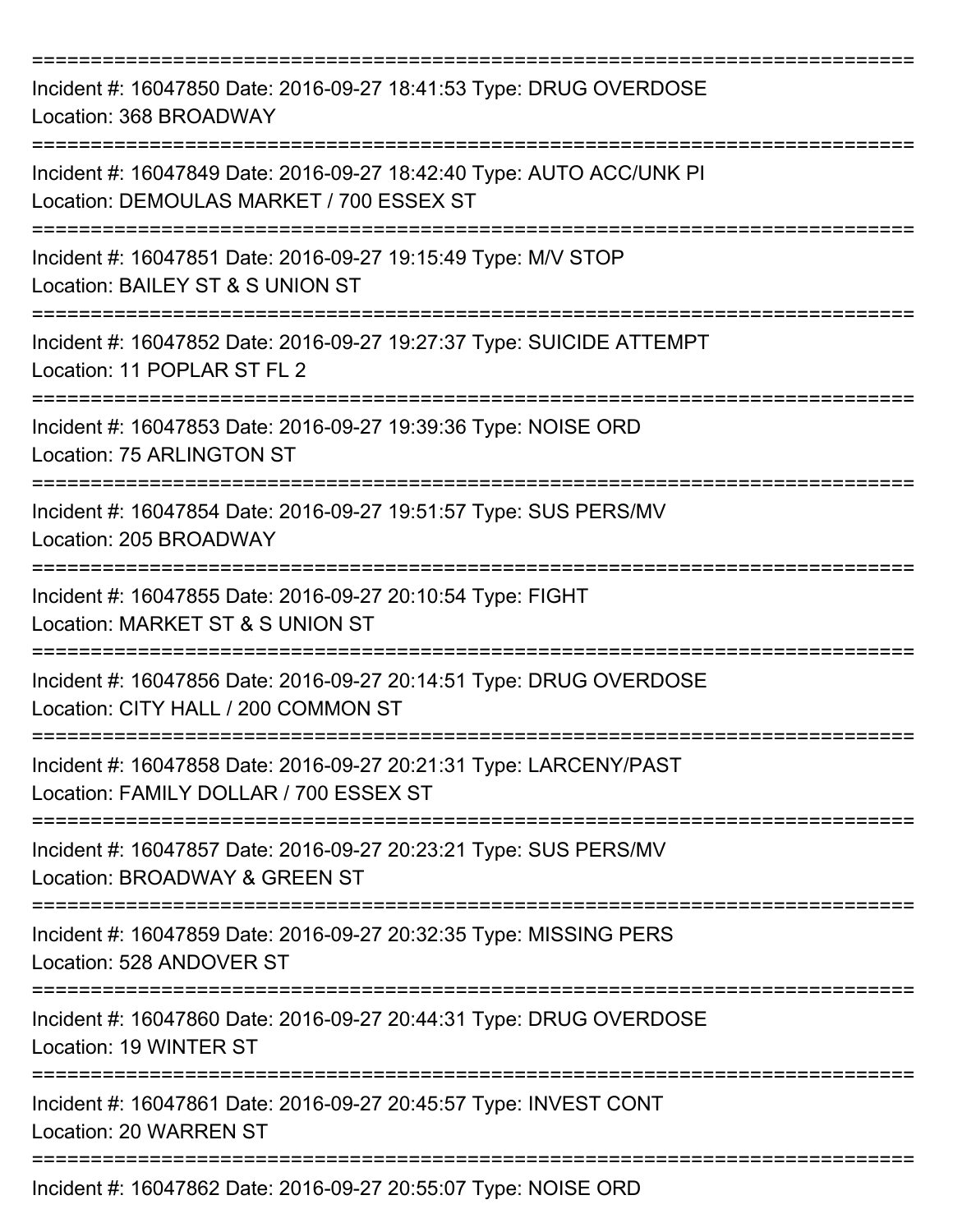| Incident #: 16047850 Date: 2016-09-27 18:41:53 Type: DRUG OVERDOSE<br>Location: 368 BROADWAY<br>================================ |
|----------------------------------------------------------------------------------------------------------------------------------|
| Incident #: 16047849 Date: 2016-09-27 18:42:40 Type: AUTO ACC/UNK PI<br>Location: DEMOULAS MARKET / 700 ESSEX ST                 |
| Incident #: 16047851 Date: 2016-09-27 19:15:49 Type: M/V STOP<br>Location: BAILEY ST & S UNION ST                                |
| Incident #: 16047852 Date: 2016-09-27 19:27:37 Type: SUICIDE ATTEMPT<br>Location: 11 POPLAR ST FL 2                              |
| :==============<br>Incident #: 16047853 Date: 2016-09-27 19:39:36 Type: NOISE ORD<br>Location: 75 ARLINGTON ST                   |
| Incident #: 16047854 Date: 2016-09-27 19:51:57 Type: SUS PERS/MV<br>Location: 205 BROADWAY                                       |
| Incident #: 16047855 Date: 2016-09-27 20:10:54 Type: FIGHT<br>Location: MARKET ST & S UNION ST                                   |
| Incident #: 16047856 Date: 2016-09-27 20:14:51 Type: DRUG OVERDOSE<br>Location: CITY HALL / 200 COMMON ST                        |
| Incident #: 16047858 Date: 2016-09-27 20:21:31 Type: LARCENY/PAST<br>Location: FAMILY DOLLAR / 700 ESSEX ST                      |
| Incident #: 16047857 Date: 2016-09-27 20:23:21 Type: SUS PERS/MV<br><b>Location: BROADWAY &amp; GREEN ST</b>                     |
| Incident #: 16047859 Date: 2016-09-27 20:32:35 Type: MISSING PERS<br>Location: 528 ANDOVER ST                                    |
| Incident #: 16047860 Date: 2016-09-27 20:44:31 Type: DRUG OVERDOSE<br>Location: 19 WINTER ST                                     |
| Incident #: 16047861 Date: 2016-09-27 20:45:57 Type: INVEST CONT<br><b>Location: 20 WARREN ST</b>                                |
| Incident #: 16047862 Date: 2016-09-27 20:55:07 Type: NOISE ORD                                                                   |